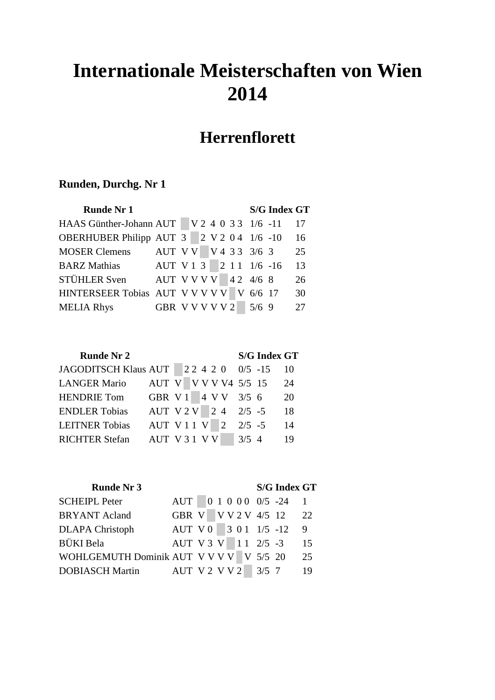# **Internationale Meisterschaften von Wien 2014**

## **Herrenflorett**

| <b>Runde Nr 1</b>               |                         |  |  |  |                   | <b>S/G Index GT</b> |    |
|---------------------------------|-------------------------|--|--|--|-------------------|---------------------|----|
| HAAS Günther-Johann AUT         |                         |  |  |  | $ V240331/6-11 $  |                     | 17 |
| <b>OBERHUBER Philipp AUT 3</b>  |                         |  |  |  | $2 V2 04 1/6 -10$ |                     | 16 |
| <b>MOSER Clemens</b>            | AUT V V   V 4 3 3 3/6 3 |  |  |  |                   |                     | 25 |
| <b>BARZ</b> Mathias             | AUT V 1 3 2 1 1 1/6 -16 |  |  |  |                   |                     | 13 |
| STÜHLER Sven                    | AUT V V V V 42 4/6 8    |  |  |  |                   |                     | 26 |
| HINTERSEER Tobias AUT V V V V V |                         |  |  |  | V 6/6 17          |                     | 30 |
| <b>MELIA Rhys</b>               | GBR VVVVV2              |  |  |  | $5/6$ 9           |                     | 27 |

|  |                             |  |  |            | 10                                                                                                                                        |
|--|-----------------------------|--|--|------------|-------------------------------------------------------------------------------------------------------------------------------------------|
|  |                             |  |  |            | 24                                                                                                                                        |
|  |                             |  |  |            | 20                                                                                                                                        |
|  |                             |  |  |            | 18                                                                                                                                        |
|  |                             |  |  |            | 14                                                                                                                                        |
|  |                             |  |  |            | 19                                                                                                                                        |
|  | <b>JAGODITSCH Klaus AUT</b> |  |  | AUT V31 VV | <b>S/G Index GT</b><br>$ 2\ 2\ 4\ 2\ 0\quad 0/5\ -15$<br>AUT V V V V V V 5/5 15<br>GBR V 1 4 V V 3/5 6<br>AUT V 1 1 V 2 2/5 -5<br>$3/5$ 4 |

| <b>Runde Nr 3</b>                       |                      |  |  |  | <b>S/G Index GT</b>      |    |
|-----------------------------------------|----------------------|--|--|--|--------------------------|----|
| <b>SCHEIPL Peter</b>                    |                      |  |  |  | AUT 0 1 0 0 0 0/5 -24 1  |    |
| <b>BRYANT Acland</b>                    | GBR V V V 2 V 4/5 12 |  |  |  | 22                       |    |
| <b>DLAPA Christoph</b>                  |                      |  |  |  | $AUT V0$ 3 0 1 1/5 -12 9 |    |
| BÜKI Bela                               | AUT V 3 V 11 2/5 -3  |  |  |  |                          | 15 |
| WOHLGEMUTH Dominik AUT V V V V V 5/5 20 |                      |  |  |  |                          | 25 |
| DOBIASCH Martin                         | AUT V 2 V V 2 3/5 7  |  |  |  |                          | 19 |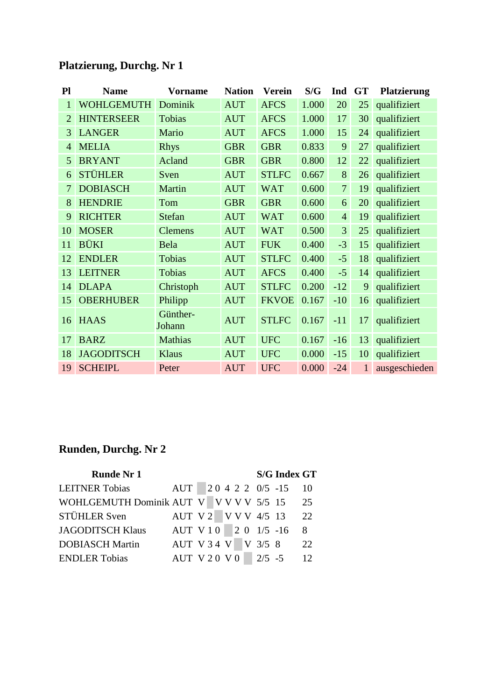| P <sub>l</sub> | <b>Name</b>       | <b>Vorname</b>     | <b>Nation</b> | <b>Verein</b> | S/G   | Ind            | <b>GT</b> | <b>Platzierung</b> |
|----------------|-------------------|--------------------|---------------|---------------|-------|----------------|-----------|--------------------|
| $\mathbf{1}$   | <b>WOHLGEMUTH</b> | Dominik            | <b>AUT</b>    | <b>AFCS</b>   | 1.000 | 20             | 25        | qualifiziert       |
| $\overline{2}$ | <b>HINTERSEER</b> | Tobias             | <b>AUT</b>    | <b>AFCS</b>   | 1.000 | 17             | 30        | qualifiziert       |
| 3              | <b>LANGER</b>     | Mario              | <b>AUT</b>    | <b>AFCS</b>   | 1.000 | 15             | 24        | qualifiziert       |
| $\overline{4}$ | <b>MELIA</b>      | <b>Rhys</b>        | <b>GBR</b>    | <b>GBR</b>    | 0.833 | 9              | 27        | qualifiziert       |
| 5              | <b>BRYANT</b>     | Acland             | <b>GBR</b>    | <b>GBR</b>    | 0.800 | 12             | 22        | qualifiziert       |
| 6              | <b>STÜHLER</b>    | Sven               | <b>AUT</b>    | <b>STLFC</b>  | 0.667 | 8              | 26        | qualifiziert       |
| 7              | <b>DOBIASCH</b>   | Martin             | <b>AUT</b>    | <b>WAT</b>    | 0.600 | $\overline{7}$ | 19        | qualifiziert       |
| 8              | <b>HENDRIE</b>    | Tom                | <b>GBR</b>    | <b>GBR</b>    | 0.600 | 6              | 20        | qualifiziert       |
| 9              | <b>RICHTER</b>    | <b>Stefan</b>      | <b>AUT</b>    | <b>WAT</b>    | 0.600 | $\overline{4}$ | 19        | qualifiziert       |
| 10             | <b>MOSER</b>      | <b>Clemens</b>     | <b>AUT</b>    | <b>WAT</b>    | 0.500 | 3              | 25        | qualifiziert       |
| 11             | <b>BÜKI</b>       | Bela               | <b>AUT</b>    | <b>FUK</b>    | 0.400 | $-3$           | 15        | qualifiziert       |
| 12             | <b>ENDLER</b>     | Tobias             | <b>AUT</b>    | <b>STLFC</b>  | 0.400 | $-5$           | 18        | qualifiziert       |
| 13             | <b>LEITNER</b>    | Tobias             | <b>AUT</b>    | <b>AFCS</b>   | 0.400 | $-5$           | 14        | qualifiziert       |
| 14             | <b>DLAPA</b>      | Christoph          | <b>AUT</b>    | <b>STLFC</b>  | 0.200 | $-12$          | 9         | qualifiziert       |
| 15             | <b>OBERHUBER</b>  | Philipp            | <b>AUT</b>    | <b>FKVOE</b>  | 0.167 | $-10$          | 16        | qualifiziert       |
| 16             | <b>HAAS</b>       | Günther-<br>Johann | <b>AUT</b>    | <b>STLFC</b>  | 0.167 | $-11$          | 17        | qualifiziert       |
| 17             | <b>BARZ</b>       | <b>Mathias</b>     | <b>AUT</b>    | <b>UFC</b>    | 0.167 | $-16$          | 13        | qualifiziert       |
| 18             | <b>JAGODITSCH</b> | Klaus              | <b>AUT</b>    | <b>UFC</b>    | 0.000 | $-15$          | 10        | qualifiziert       |
| 19             | <b>SCHEIPL</b>    | Peter              | <b>AUT</b>    | <b>UFC</b>    | 0.000 | $-24$          | 1         | ausgeschieden      |

| <b>Runde Nr 1</b>        |                      |  |  |  |                  | <b>S/G Index GT</b> |                 |
|--------------------------|----------------------|--|--|--|------------------|---------------------|-----------------|
| <b>LEITNER Tobias</b>    | AUT                  |  |  |  | 20 4 2 2 0/5 -15 |                     | 10              |
| WOHLGEMUTH Dominik AUT V |                      |  |  |  | V V V V 5/5 15   |                     | 25              |
| STÜHLER Sven             | AUT V2               |  |  |  | V V V 4/5 13     |                     | 22              |
| <b>JAGODITSCH Klaus</b>  | AUT V 10 2 0 1/5 -16 |  |  |  |                  |                     | 8               |
| <b>DOBIASCH Martin</b>   | AUT V 3 4 V V 3/5 8  |  |  |  |                  |                     | 22              |
| <b>ENDLER Tobias</b>     | <b>AUT V20 V0</b>    |  |  |  | $2/5 - 5$        |                     | 12 <sub>1</sub> |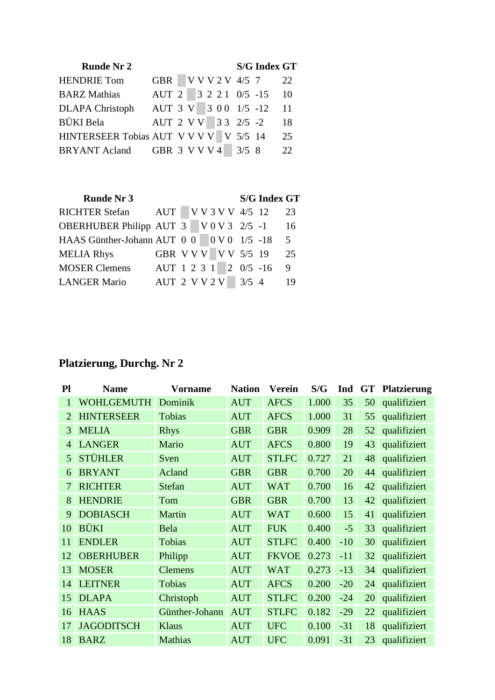| <b>Runde Nr 2</b>             |                       |  |  |  |                 | <b>S/G Index GT</b> |    |
|-------------------------------|-----------------------|--|--|--|-----------------|---------------------|----|
| <b>HENDRIE Tom</b>            | <b>GBR</b>            |  |  |  | V V V 2 V 4/5 7 |                     | 22 |
| <b>BARZ</b> Mathias           | AUT 2 3 2 2 1 0/5 -15 |  |  |  |                 |                     | 10 |
| <b>DLAPA</b> Christoph        | AUT 3 V 3 0 0 1/5 -12 |  |  |  |                 |                     | 11 |
| BÜKI Bela                     | AUT 2 V V 3 3 2/5 -2  |  |  |  |                 |                     | 18 |
| HINTERSEER Tobias AUT V V V V |                       |  |  |  | V 5/5 14        |                     | 25 |
| <b>BRYANT Acland</b>          | GBR 3 V V V 4 3/5 8   |  |  |  |                 |                     | 22 |

| <b>Runde Nr 3</b>                       |                       |  |  |  |                  | <b>S/G Index GT</b> |                |
|-----------------------------------------|-----------------------|--|--|--|------------------|---------------------|----------------|
| <b>RICHTER Stefan</b>                   | AUT                   |  |  |  | V V 3 V V 4/5 12 |                     | 23             |
| OBERHUBER Philipp AUT 3 V 0 V 3 2/5 -1  |                       |  |  |  |                  |                     | 16             |
| HAAS Günther-Johann AUT 0 0 0 0 1/5 -18 |                       |  |  |  |                  |                     | 5 <sup>1</sup> |
| <b>MELIA Rhys</b>                       | GBR V V V V V 5/5 19  |  |  |  |                  |                     | 25             |
| <b>MOSER Clemens</b>                    | AUT 1 2 3 1 2 0/5 -16 |  |  |  |                  |                     | 9              |
| <b>LANGER Mario</b>                     | AUT 2 V V 2 V         |  |  |  | $3/5$ 4          |                     | 19             |

| Pl             | <b>Name</b>       | <b>Vorname</b> | <b>Nation</b> | <b>Verein</b> | S/G   | Ind   | <b>GT</b> | <b>Platzierung</b> |
|----------------|-------------------|----------------|---------------|---------------|-------|-------|-----------|--------------------|
|                | <b>WOHLGEMUTH</b> | Dominik        | <b>AUT</b>    | <b>AFCS</b>   | 1.000 | 35    | 50        | qualifiziert       |
| $\overline{2}$ | <b>HINTERSEER</b> | Tobias         | <b>AUT</b>    | <b>AFCS</b>   | 1.000 | 31    | 55        | qualifiziert       |
| 3              | <b>MELIA</b>      | <b>Rhys</b>    | <b>GBR</b>    | <b>GBR</b>    | 0.909 | 28    | 52        | qualifiziert       |
| 4              | <b>LANGER</b>     | Mario          | <b>AUT</b>    | <b>AFCS</b>   | 0.800 | 19    | 43        | qualifiziert       |
| 5              | <b>STÜHLER</b>    | Sven           | <b>AUT</b>    | <b>STLFC</b>  | 0.727 | 21    | 48        | qualifiziert       |
| 6              | <b>BRYANT</b>     | Acland         | <b>GBR</b>    | <b>GBR</b>    | 0.700 | 20    | 44        | qualifiziert       |
| $\overline{7}$ | <b>RICHTER</b>    | <b>Stefan</b>  | <b>AUT</b>    | <b>WAT</b>    | 0.700 | 16    | 42        | qualifiziert       |
| 8              | <b>HENDRIE</b>    | Tom            | <b>GBR</b>    | <b>GBR</b>    | 0.700 | 13    | 42        | qualifiziert       |
| 9              | <b>DOBIASCH</b>   | Martin         | <b>AUT</b>    | <b>WAT</b>    | 0.600 | 15    | 41        | qualifiziert       |
| 10             | <b>BÜKI</b>       | Bela           | <b>AUT</b>    | <b>FUK</b>    | 0.400 | $-5$  | 33        | qualifiziert       |
| 11             | <b>ENDLER</b>     | Tobias         | <b>AUT</b>    | <b>STLFC</b>  | 0.400 | $-10$ | 30        | qualifiziert       |
| 12             | <b>OBERHUBER</b>  | Philipp        | <b>AUT</b>    | <b>FKVOE</b>  | 0.273 | $-11$ | 32        | qualifiziert       |
| 13             | <b>MOSER</b>      | <b>Clemens</b> | <b>AUT</b>    | <b>WAT</b>    | 0.273 | $-13$ | 34        | qualifiziert       |
| 14             | <b>LEITNER</b>    | Tobias         | <b>AUT</b>    | <b>AFCS</b>   | 0.200 | $-20$ | 24        | qualifiziert       |
| 15             | <b>DLAPA</b>      | Christoph      | <b>AUT</b>    | <b>STLFC</b>  | 0.200 | $-24$ | 20        | qualifiziert       |
| 16             | <b>HAAS</b>       | Günther-Johann | <b>AUT</b>    | <b>STLFC</b>  | 0.182 | $-29$ | 22        | qualifiziert       |
| 17             | <b>JAGODITSCH</b> | <b>Klaus</b>   | <b>AUT</b>    | <b>UFC</b>    | 0.100 | $-31$ | 18        | qualifiziert       |
| 18             | <b>BARZ</b>       | <b>Mathias</b> | <b>AUT</b>    | <b>UFC</b>    | 0.091 | $-31$ | 23        | qualifiziert       |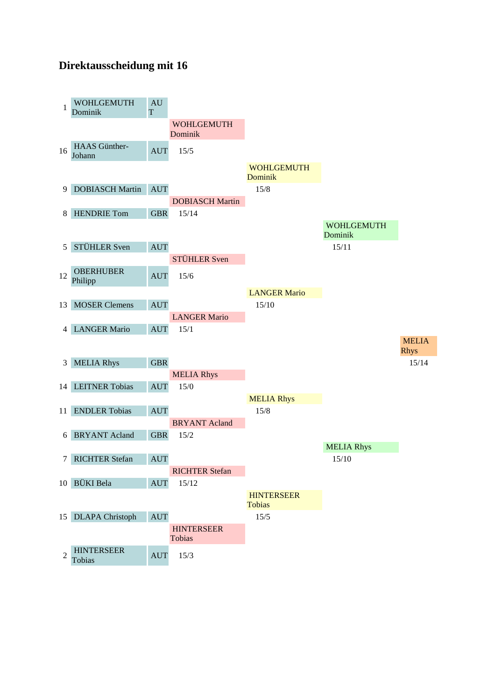#### **Direktausscheidung mit 16**

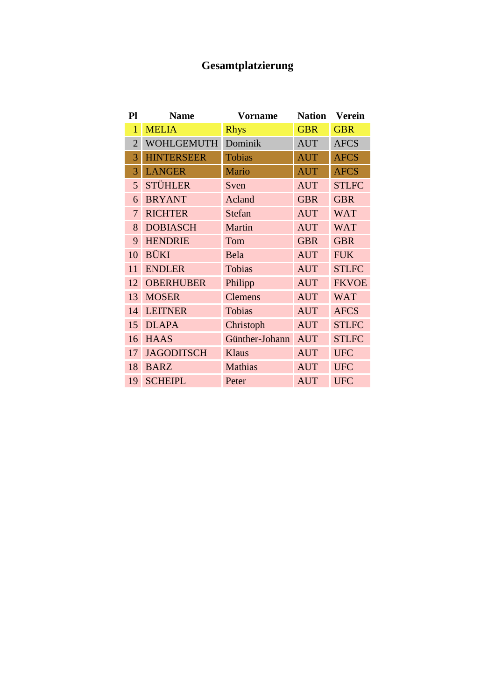### **Gesamtplatzierung**

| Pl             | <b>Name</b>       | <b>Vorname</b> | <b>Nation</b> | <b>Verein</b> |
|----------------|-------------------|----------------|---------------|---------------|
| 1              | <b>MELIA</b>      | <b>Rhys</b>    | <b>GBR</b>    | <b>GBR</b>    |
| $\overline{2}$ | <b>WOHLGEMUTH</b> | Dominik        | <b>AUT</b>    | <b>AFCS</b>   |
| 3              | <b>HINTERSEER</b> | <b>Tobias</b>  | <b>AUT</b>    | <b>AFCS</b>   |
| 3              | <b>LANGER</b>     | Mario          | <b>AUT</b>    | <b>AFCS</b>   |
| 5              | <b>STÜHLER</b>    | Sven           | <b>AUT</b>    | <b>STLFC</b>  |
| 6              | <b>BRYANT</b>     | Acland         | <b>GBR</b>    | <b>GBR</b>    |
| 7              | <b>RICHTER</b>    | Stefan         | <b>AUT</b>    | <b>WAT</b>    |
| 8              | <b>DOBIASCH</b>   | Martin         | <b>AUT</b>    | <b>WAT</b>    |
| 9              | <b>HENDRIE</b>    | Tom            | <b>GBR</b>    | <b>GBR</b>    |
| 10             | <b>BÜKI</b>       | Bela           | <b>AUT</b>    | <b>FUK</b>    |
| 11             | <b>ENDLER</b>     | Tobias         | <b>AUT</b>    | <b>STLFC</b>  |
| 12             | <b>OBERHUBER</b>  | Philipp        | <b>AUT</b>    | <b>FKVOE</b>  |
| 13             | <b>MOSER</b>      | <b>Clemens</b> | <b>AUT</b>    | <b>WAT</b>    |
| 14             | <b>LEITNER</b>    | Tobias         | <b>AUT</b>    | <b>AFCS</b>   |
| 15             | <b>DLAPA</b>      | Christoph      | <b>AUT</b>    | <b>STLFC</b>  |
| 16             | <b>HAAS</b>       | Günther-Johann | <b>AUT</b>    | <b>STLFC</b>  |
| 17             | <b>JAGODITSCH</b> | Klaus          | <b>AUT</b>    | <b>UFC</b>    |
| 18             | <b>BARZ</b>       | <b>Mathias</b> | <b>AUT</b>    | <b>UFC</b>    |
| 19             | <b>SCHEIPL</b>    | Peter          | <b>AUT</b>    | <b>UFC</b>    |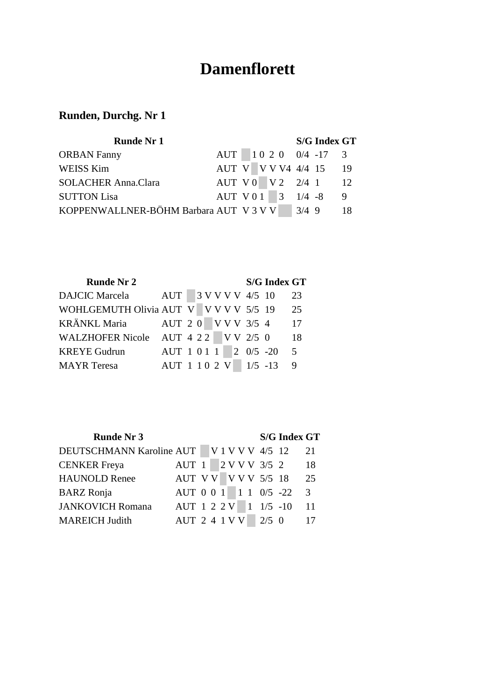## **Damenflorett**

| <b>Runde Nr 1</b>                     |                    |  |  |         | <b>S/G Index GT</b>     |    |
|---------------------------------------|--------------------|--|--|---------|-------------------------|----|
| <b>ORBAN Fanny</b>                    |                    |  |  |         | AUT 10 2 0 0/4 -17 3    |    |
| WEISS Kim                             |                    |  |  |         | AUT V V V V 4 4/4 15 19 |    |
| <b>SOLACHER Anna.Clara</b>            | AUT V 0 V 2 2/4 1  |  |  |         | 12                      |    |
| <b>SUTTON Lisa</b>                    | AUT V 0 1 3 1/4 -8 |  |  |         |                         | -9 |
| KOPPENWALLNER-BÖHM Barbara AUT V3 V V |                    |  |  | $3/4$ 9 |                         |    |

| <b>Runde Nr 2</b>                      |                       |  |  |  | <b>S/G Index GT</b> |                |
|----------------------------------------|-----------------------|--|--|--|---------------------|----------------|
| DAJCIC Marcela                         | AUT 3 V V V V 4/5 10  |  |  |  |                     | 23             |
| WOHLGEMUTH Olivia AUT V V V V V 5/5 19 |                       |  |  |  |                     | 25             |
| KRÄNKL Maria                           | AUT 2 0 V V V 3/5 4   |  |  |  |                     | 17             |
| WALZHOFER Nicole AUT 4 2 2 V V 2/5 0   |                       |  |  |  |                     | 18             |
| <b>KREYE Gudrun</b>                    | AUT 1 0 1 1 2 0/5 -20 |  |  |  |                     | 5 <sup>5</sup> |
| <b>MAYR</b> Teresa                     | AUT 1 1 0 2 V 1/5 -13 |  |  |  |                     | - 9            |

| <b>Runde Nr 3</b>                         |                        |  |  |  |               | <b>S/G Index GT</b> |    |
|-------------------------------------------|------------------------|--|--|--|---------------|---------------------|----|
| DEUTSCHMANN Karoline AUT V 1 V V V 4/5 12 |                        |  |  |  |               |                     | 21 |
| <b>CENKER</b> Freya                       | AUT 1                  |  |  |  | 2 V V V 3/5 2 |                     | 18 |
| <b>HAUNOLD Renee</b>                      | AUT V V   V V V 5/5 18 |  |  |  |               |                     | 25 |
| <b>BARZ</b> Ronja                         | AUT 0 0 1 1 1 0/5 -22  |  |  |  |               |                     | 3  |
| <b>JANKOVICH Romana</b>                   | AUT 1 2 2 V 1 1/5 -10  |  |  |  |               |                     | 11 |
| <b>MAREICH Judith</b>                     | <b>AUT 2 4 1 V V</b>   |  |  |  | $2/5$ 0       |                     |    |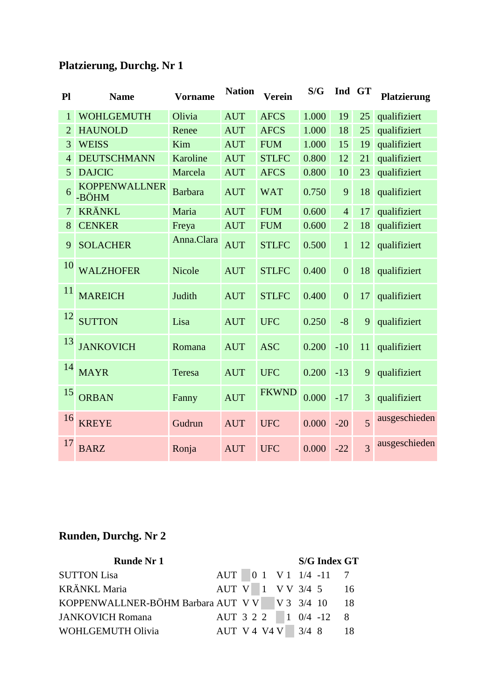| P1             | <b>Name</b>                   | <b>Vorname</b> | <b>Nation</b><br><b>Verein</b> |              | S/G   | Ind GT         |                | <b>Platzierung</b> |
|----------------|-------------------------------|----------------|--------------------------------|--------------|-------|----------------|----------------|--------------------|
| $\mathbf{1}$   | <b>WOHLGEMUTH</b>             | Olivia         | <b>AUT</b>                     | <b>AFCS</b>  | 1.000 | 19             | 25             | qualifiziert       |
| $\overline{2}$ | <b>HAUNOLD</b>                | Renee          | <b>AUT</b>                     | <b>AFCS</b>  | 1.000 | 18             | 25             | qualifiziert       |
| 3              | <b>WEISS</b>                  | Kim            | <b>AUT</b>                     | <b>FUM</b>   | 1.000 | 15             | 19             | qualifiziert       |
| $\overline{4}$ | <b>DEUTSCHMANN</b>            | Karoline       | <b>AUT</b>                     | <b>STLFC</b> | 0.800 | 12             | 21             | qualifiziert       |
| 5              | <b>DAJCIC</b>                 | Marcela        | <b>AUT</b>                     | <b>AFCS</b>  | 0.800 | 10             | 23             | qualifiziert       |
| 6              | <b>KOPPENWALLNER</b><br>-BÖHM | <b>Barbara</b> | <b>AUT</b>                     | <b>WAT</b>   | 0.750 | 9              | 18             | qualifiziert       |
| 7              | <b>KRÄNKL</b>                 | Maria          | <b>AUT</b>                     | <b>FUM</b>   | 0.600 | $\overline{4}$ | 17             | qualifiziert       |
| 8              | <b>CENKER</b>                 | Freya          | <b>AUT</b>                     | <b>FUM</b>   | 0.600 | $\overline{2}$ | 18             | qualifiziert       |
| 9              | <b>SOLACHER</b>               | Anna.Clara     | <b>AUT</b>                     | <b>STLFC</b> | 0.500 | $\mathbf{1}$   | 12             | qualifiziert       |
| 10             | <b>WALZHOFER</b>              | <b>Nicole</b>  | <b>AUT</b>                     | <b>STLFC</b> | 0.400 | $\overline{0}$ | 18             | qualifiziert       |
| 11             | <b>MAREICH</b>                | Judith         | <b>AUT</b>                     | <b>STLFC</b> | 0.400 | $\overline{0}$ | 17             | qualifiziert       |
| 12             | <b>SUTTON</b>                 | Lisa           | <b>AUT</b>                     | <b>UFC</b>   | 0.250 | $-8$           | 9              | qualifiziert       |
| 13             | <b>JANKOVICH</b>              | Romana         | <b>AUT</b>                     | <b>ASC</b>   | 0.200 | $-10$          | 11             | qualifiziert       |
| 14             | <b>MAYR</b>                   | Teresa         | <b>AUT</b>                     | <b>UFC</b>   | 0.200 | $-13$          | 9              | qualifiziert       |
| 15             | <b>ORBAN</b>                  | Fanny          | <b>AUT</b>                     | <b>FKWND</b> | 0.000 | $-17$          | 3              | qualifiziert       |
| 16             | <b>KREYE</b>                  | Gudrun         | <b>AUT</b>                     | <b>UFC</b>   | 0.000 | $-20$          | $\overline{5}$ | ausgeschieden      |
| 17             | <b>BARZ</b>                   | Ronja          | <b>AUT</b>                     | <b>UFC</b>   | 0.000 | $-22$          | $\overline{3}$ | ausgeschieden      |

| <b>Runde Nr 1</b>                                  |                       |  |  |  | <b>S/G Index GT</b>     |   |
|----------------------------------------------------|-----------------------|--|--|--|-------------------------|---|
| <b>SUTTON Lisa</b>                                 |                       |  |  |  | $AUT$ 0 1 V 1 1/4 -11 7 |   |
| <b>KRÄNKL Maria</b>                                |                       |  |  |  | AUT V 1 V V 3/4 5 16    |   |
| KOPPENWALLNER-BÖHM Barbara AUT V V V V 3 3/4 10 18 |                       |  |  |  |                         |   |
| <b>JANKOVICH Romana</b>                            | AUT 3 2 2   1 0/4 -12 |  |  |  |                         | 8 |
| WOHLGEMUTH Olivia                                  | AUT V 4 V 4 V 3/4 8   |  |  |  |                         |   |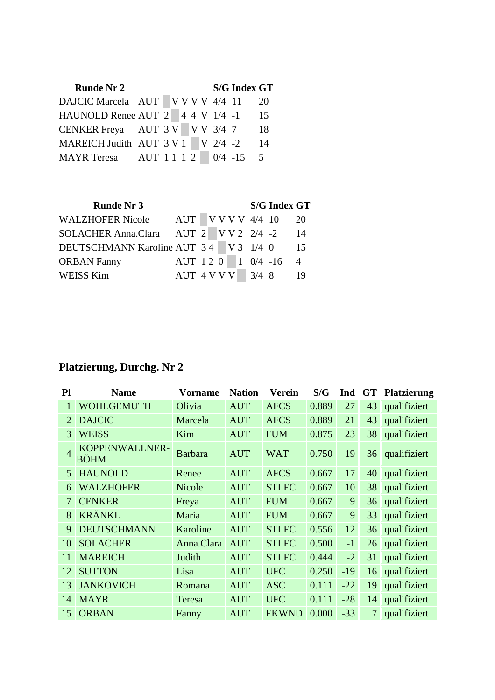| <b>Runde Nr 2</b>                          |  |  |  | <b>S/G Index GT</b> |     |
|--------------------------------------------|--|--|--|---------------------|-----|
| DAJCIC Marcela AUT V V V V 4/4 11          |  |  |  |                     | 20  |
| HAUNOLD Renee AUT 2 4 4 V 1/4 -1           |  |  |  |                     | 15  |
| CENKER Freya AUT $3 \text{ V}$ V V $3/4$ 7 |  |  |  |                     | 18  |
| MAREICH Judith AUT 3 V 1 V 2/4 -2          |  |  |  |                     | 14  |
| MAYR Teresa AUT 1 1 1 2 0/4 -15            |  |  |  |                     | - 5 |

| <b>Runde Nr 3</b>                      |                    |  |  |      | <b>S/G Index GT</b> |                |
|----------------------------------------|--------------------|--|--|------|---------------------|----------------|
| <b>WALZHOFER Nicole</b>                | AUT V V V V 4/4 10 |  |  |      |                     | 20             |
| SOLACHER Anna.Clara AUT 2 V V 2 2/4 -2 |                    |  |  |      |                     | 14             |
| DEUTSCHMANN Karoline AUT 34 V 3 1/4 0  |                    |  |  |      |                     | -15            |
| <b>ORBAN Fanny</b>                     | AUT 120 1 0/4 -16  |  |  |      |                     | $\overline{4}$ |
| <b>WEISS Kim</b>                       | AUT 4 V V V        |  |  | 3/48 |                     | 19             |

| P1             | <b>Name</b>                   | <b>Vorname</b> | <b>Nation</b> | <b>Verein</b> | S/G   | Ind   | <b>GT</b>       | <b>Platzierung</b> |
|----------------|-------------------------------|----------------|---------------|---------------|-------|-------|-----------------|--------------------|
|                | <b>WOHLGEMUTH</b>             | Olivia         | <b>AUT</b>    | <b>AFCS</b>   | 0.889 | 27    | 43              | qualifiziert       |
| 2              | <b>DAJCIC</b>                 | Marcela        | <b>AUT</b>    | <b>AFCS</b>   | 0.889 | 21    | 43              | qualifiziert       |
| 3              | <b>WEISS</b>                  | Kim            | <b>AUT</b>    | <b>FUM</b>    | 0.875 | 23    | 38              | qualifiziert       |
| $\overline{A}$ | KOPPENWALLNER-<br><b>BÖHM</b> | <b>Barbara</b> | <b>AUT</b>    | <b>WAT</b>    | 0.750 | 19    | 36 <sup>2</sup> | qualifiziert       |
| 5              | <b>HAUNOLD</b>                | Renee          | <b>AUT</b>    | <b>AFCS</b>   | 0.667 | 17    | 40              | qualifiziert       |
| 6              | <b>WALZHOFER</b>              | <b>Nicole</b>  | <b>AUT</b>    | <b>STLFC</b>  | 0.667 | 10    | 38              | qualifiziert       |
| 7              | <b>CENKER</b>                 | Freya          | <b>AUT</b>    | <b>FUM</b>    | 0.667 | 9     | 36              | qualifiziert       |
| 8              | <b>KRÄNKL</b>                 | Maria          | <b>AUT</b>    | <b>FUM</b>    | 0.667 | 9     | 33              | qualifiziert       |
| 9              | <b>DEUTSCHMANN</b>            | Karoline       | <b>AUT</b>    | <b>STLFC</b>  | 0.556 | 12    | 36              | qualifiziert       |
| 10             | <b>SOLACHER</b>               | Anna.Clara     | <b>AUT</b>    | <b>STLFC</b>  | 0.500 | $-1$  | 26              | qualifiziert       |
| 11             | <b>MAREICH</b>                | Judith         | <b>AUT</b>    | <b>STLFC</b>  | 0.444 | $-2$  | 31              | qualifiziert       |
| 12             | <b>SUTTON</b>                 | Lisa           | <b>AUT</b>    | <b>UFC</b>    | 0.250 | $-19$ | 16              | qualifiziert       |
| 13             | <b>JANKOVICH</b>              | Romana         | <b>AUT</b>    | <b>ASC</b>    | 0.111 | $-22$ | 19              | qualifiziert       |
| 14             | <b>MAYR</b>                   | Teresa         | <b>AUT</b>    | <b>UFC</b>    | 0.111 | $-28$ | 14              | qualifiziert       |
| 15             | <b>ORBAN</b>                  | Fanny          | <b>AUT</b>    | <b>FKWND</b>  | 0.000 | $-33$ | 7               | qualifiziert       |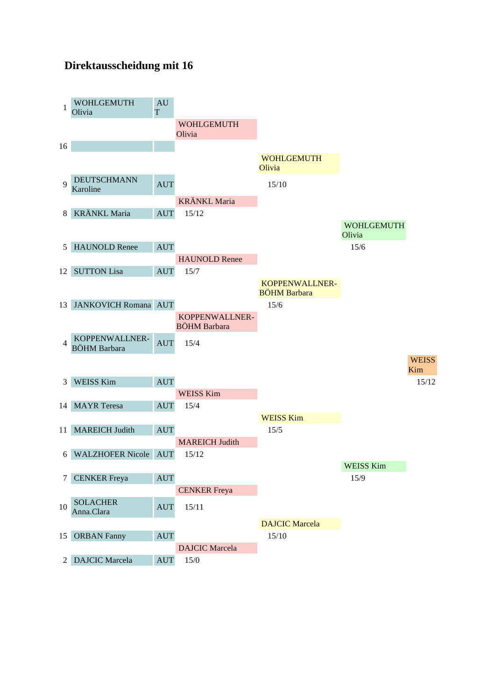#### **Direktausscheidung mit 16**